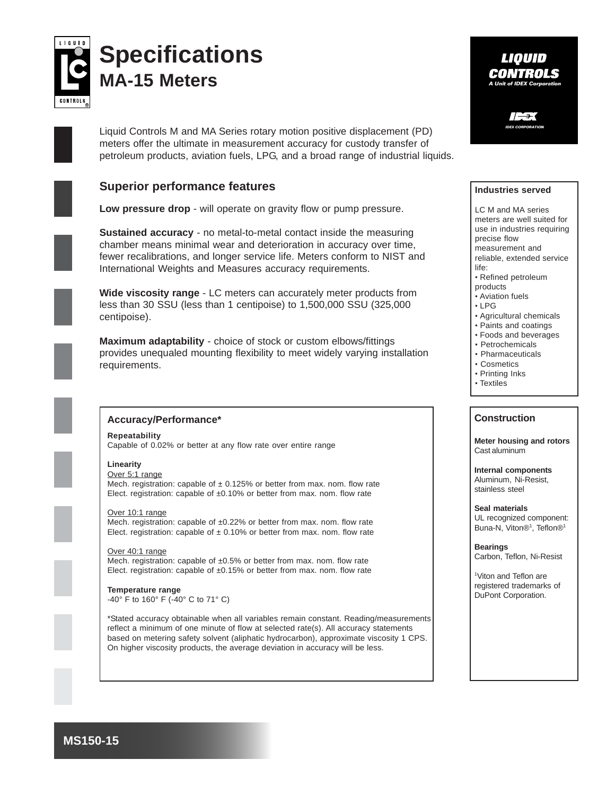

# **Specifications MA-15 Meters**

Liquid Controls M and MA Series rotary motion positive displacement (PD) meters offer the ultimate in measurement accuracy for custody transfer of petroleum products, aviation fuels, LPG, and a broad range of industrial liquids.

## **Superior performance features**

**Low pressure drop** - will operate on gravity flow or pump pressure.

**Sustained accuracy** - no metal-to-metal contact inside the measuring chamber means minimal wear and deterioration in accuracy over time, fewer recalibrations, and longer service life. Meters conform to NIST and International Weights and Measures accuracy requirements.

**Wide viscosity range** - LC meters can accurately meter products from less than 30 SSU (less than 1 centipoise) to 1,500,000 SSU (325,000 centipoise).

**Maximum adaptability** - choice of stock or custom elbows/fittings provides unequaled mounting flexibility to meet widely varying installation requirements.



### **Accuracy/Performance\***

**Repeatability** Capable of 0.02% or better at any flow rate over entire range

#### **Linearity**

Over 5:1 range Mech. registration: capable of  $\pm$  0.125% or better from max. nom. flow rate Elect. registration: capable of ±0.10% or better from max. nom. flow rate

Over 10:1 range Mech. registration: capable of ±0.22% or better from max. nom. flow rate

Elect. registration: capable of  $\pm$  0.10% or better from max. nom. flow rate

Over 40:1 range Mech. registration: capable of ±0.5% or better from max. nom. flow rate Elect. registration: capable of ±0.15% or better from max. nom. flow rate

**Temperature range** -40° F to 160° F (-40° C to 71° C)

\*Stated accuracy obtainable when all variables remain constant. Reading/measurements reflect a minimum of one minute of flow at selected rate(s). All accuracy statements based on metering safety solvent (aliphatic hydrocarbon), approximate viscosity 1 CPS. On higher viscosity products, the average deviation in accuracy will be less.



**IDEX CORPORATION**

#### **Industries served**

LC M and MA series meters are well suited for use in industries requiring precise flow measurement and reliable, extended service life:

- Refined petroleum
- products
- Aviation fuels
- LPG
- Agricultural chemicals
- Paints and coatings
- Foods and beverages
- Petrochemicals
- Pharmaceuticals • Cosmetics
- Printing Inks
- Textiles

#### **Construction**

**Meter housing and rotors** Cast aluminum

**Internal components** Aluminum, Ni-Resist, stainless steel

**Seal materials** UL recognized component: Buna-N, Viton®<sup>1</sup>, Teflon®<sup>1</sup>

**Bearings** Carbon, Teflon, Ni-Resist

1 Viton and Teflon are registered trademarks of DuPont Corporation.